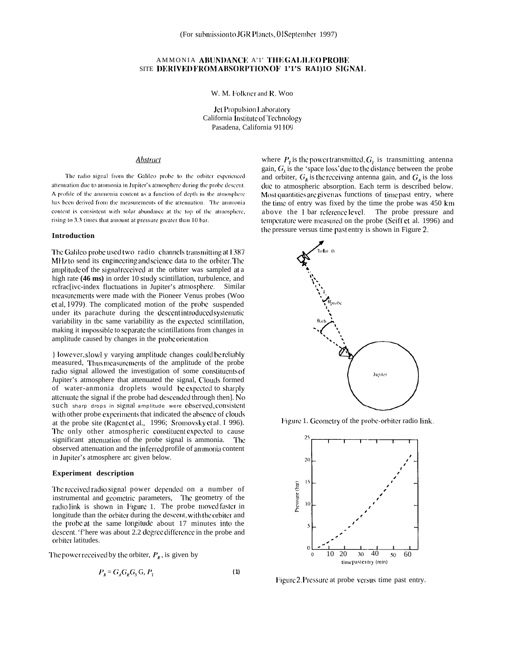# AMMONIA ABUNDANCE A'1' THE GALILEO PROBE SITE DERIVED FROM ABSORPTION OF 1'1'S RA1)10 SIGNAL

W. M. Folkner and R. Woo

Jet Propulsion Laboratory California Institute of Technology Pasadena, California 91109

## **Abstract**

The radio signal from the Galileo probe to the orbiter experienced attenuation due to ammonia in Jupiter's atmosphere during the probe descent. A profile of the ammonia content as a function of depth in the atmosphere has been derived from the measurements of the attenuation. The ammonia content is consistent with solar abundance at the top of the atmosphere, rising to 3.3 times that amount at pressure greater than 10 bar.

### Introduction

The Galileo probe used two radio channels transmitting at 1387 MHz to send its engineering and science data to the orbiter. The amplitude of the signal received at the orbiter was sampled at a high rate (46 ms) in order 10 study scintillation, turbulence, and rcfrac[ivc-index fluctuations in Jupiter's atmosphere. Similar measurements were made with the Pioneer Venus probes (Woo et al, 1979). The complicated motion of the probe suspended under its parachute during the descent introduced systematic variability in the same variability as the expected scintillation, making it impossible to separate the scintillations from changes in amplitude caused by changes in the probeorientation.

However, slowl y varying amplitude changes could be reliably measured, Thus measurements of the amplitude of the probe radio signal allowed the investigation of some constituents of Jupiter's atmosphere that attenuated the signal, Clouds formed of water-anmonia droplets would be expected to sharply attenuate the signal if the probe had descended through then]. No such sharp drops in signal amplitude were observed, consistent with other probe experiments that indicated the absence of clouds at the probe site (Ragent et al., 1996; Sromovsky et al. I 996). The only other atmospheric constituent expected to cause significant attenuation of the probe signal is ammonia. The observed attenuation and the inferred profile of ammonia content in Jupiter's atmosphere arc given below.

### **Experiment** description

The received radio signal power depended on a number of instrumental and geometric parameters, The geometry of the radio link is shown in Figure 1. The probe moved faster in longitude than the orbiter during the descent, with the orbiter and the probe at the same longitude about 17 minutes into the descent. 'f'here was about 2.2 degree difference in the probe and orbiter latitudes.

The power received by the orbiter,  $P<sub>R</sub>$ , is given by

$$
P_R = G_A G_R G_S G, P_1 \tag{1}
$$

where  $P_7$  is the power transmitted,  $G_7$  is transmitting antenna gain,  $G_s$  is the 'space loss' due to the distance between the probe and orbiter,  $G_k$  is the receiving antenna gain, and  $G_A$  is the loss due to atmospheric absorption. Each term is described below. Most quantities are given as functions of time past entry, where the time of entry was fixed by the time the probe was 450 km above the 1 bar reference level. The probe pressure and temperature were measured on the probe (Seiff et al. 1996) and the pressure versus time past entry is shown in Figure 2.



Figure 1. Geometry of the probe-orbiter radio link.



Figure 2. Pressure at probe versus time past entry.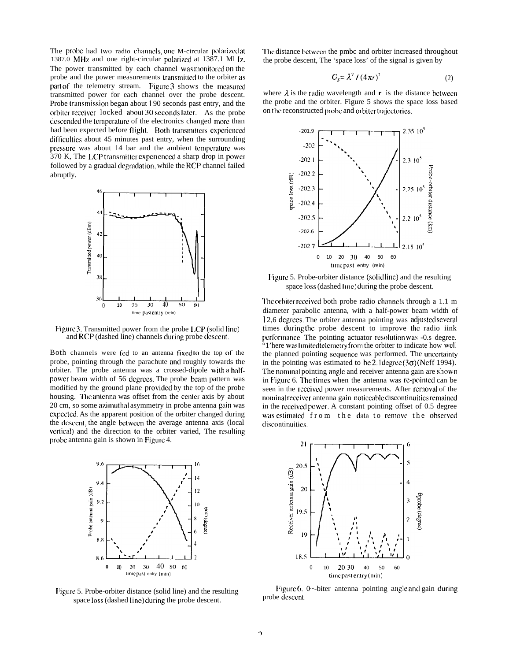The probe had two radio channels, one M-circular polarized at 1387.0 MHz and one right-circular polarized at  $1387.1$  Ml  $\overline{1}z$ , The power transmitted by each channel was monitored on the probe and the power measurements transmitted to the orbiter as part of the telemetry stream. Figure 3 shows the measured transmitted power for each channel over the probe descent. Probe transmission began about 190 seconds past entry, and the orbiter receiver locked about 30 seconds later. As the probe descended the temperature of the electronics changed more than had been expected before flight. Both transmitters experienced difficulties about 45 minutes past entry, when the surrounding pressure was about 14 bar and the ambient temperature was 370 K, The LCP transmitter experienced a sharp drop in power followed by a gradual degradation, while the RCP channel failed abruptly.



Figure 3. Transmitted power from the probe LCP (solid line) and RCP (dashed line) channels during probe dcsccnt,

Both channels were fed to an antenna fixed to the top of the probe, pointing through the parachute and roughly towards the orbiter. The probe antenna was a crossed-dipole with a halfpowcr beam width of 56 dcgrccs, The probe bcarn pattern was modified by the ground plane providcci by the top of the probe housing. The antenna was offset from the center axis by about 20 cm, so some azimuthal asymmetry in probe antenna gain was cxpcctcd, As the apparent position of the orbiter changed during the descent, the angle between the average antenna axis (local vertical) and the direction to the orbiter varied, The resulting probe antenna gain is shown in Figure 4.



Figure 5. Probe-orbiter distance (solid line) and the resulting space loss (dashed line) during the probe descent.

I'hc distance bctwccn the pmbc and orbiter increased throughout the probe descent, The 'space loss' of the signal is given by

$$
G_s = \lambda^2 / (4\pi r)^2 \tag{2}
$$

where  $\lambda$  is the radio wavelength and  $r$  is the distance between the probe and the orbiter. Figure 5 shows the space loss based on the reconstructed probe and orbiter trajectories.



Figure 5. Probe-orbiter distance (solid line) and the resulting space loss (dashed line) during the probe descent.

The orbiter received both probe radio channels through a 1.1 m diameter parabolic antenna, with a half-power beam width of 12,6 degrees. The orbiter antenna pointing was adjusted several times during the probe descent to improve the radio iink performance. The pointing actuator resolution was -0.s degree. "1'here was limited telemetry from the orbiter to indicate how well the planned pointing sequence was performed. The uncertainty in the pointing was estimated to be 2.1 degree  $(3\sigma)$  (Neff 1994). The nominal pointing angle and receiver antenna gain are shown in Figure 6. The times when the antenna was re-pointed can be seen in the received power measurements. After removal of the nominal receiver antenna gain noticeable discontinuities remained in the received power. A constant pointing offset of 0.5 degree was estimated from the data to remove the observed discontinuities.



Figure 6. 0 $\sim$ -biter antenna pointing angle and gain during probe descent.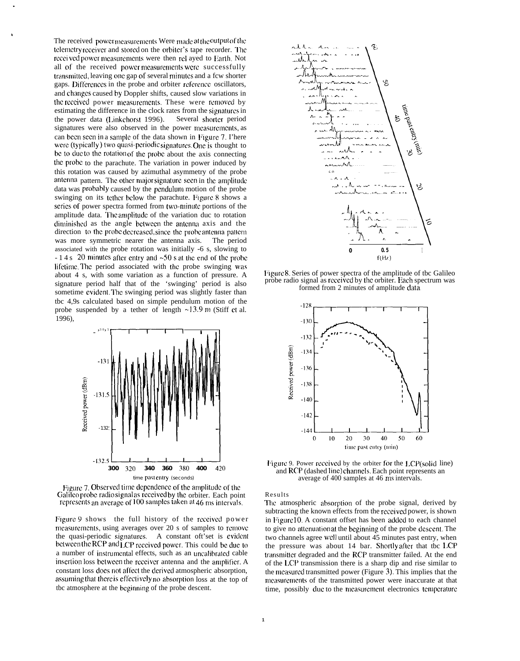The received power measurements Were made at the output of the telemetry receiver and stored on the orbiter's tape recorder. The received power measurements were then rel ayed to Earth. Not all of the received power measurements were successfully transmitted, leaving one gap of several minutes and a fcw shorter gaps. Differences in the probe and orbiter reference oscillators, and changes caused by Doppler shifts, caused slow variations in the received power measurements. These were removed by estimating the difference in the clock rates from the signatures in the power data (Linkchorst 1996). Several shorter period signatures were also observed in the power measurements, as can been seen in a sample of the data shown in Figure 7. I'here were (typically) two quasi-periodic signatures. One is thought to be to ducto the rotation of the probe about the axis connecting the probe to the parachute. The variation in power induced by this rotation was caused by azimuthal asymmetry of the probe antenna pattern. The other major signature seen in the amplitude data was probably caused by the pendulum motion of the probe swinging on its tether below the parachute. Figure 8 shows a series of power spectra formed from two-minute portions of the amplitude data. The amplitude of the variation duc to rotation diminisbcd as the angle hctwecn the antcona axis and the direction to the probe decreased, since the probe antenna pattern was more symmetric nearer the antenna axis. The period associated with the probe rotation was initially -6 s, slowing to  $-14s$  20 minutes after entry and  $-50s$  at the end of the probe lifetime. The period associated with the probe swinging was about 4 s, with some variation as a function of pressure. A signature period half that of the 'swinging' period is also sometime cvidcnt, I'hc swinging period was slightly faster than tbc 4,9s calculated based on simple pendulum motion of the probe suspended by a tether of length  $\sim$ 13.9 m (Stiff et al. 1996), The decreased, since the probe antentific nearer the antenna axis. The<br>probe rotation was initially -6 s, slatter entry and ~50 s at the end of id<br>associated with the probe swing<br>ome variation as a function of pre-<br>alf th



Figure 7. Observed time dependence of the amplitude of the Galilco probe radio signal as received by the orbiter. Each point represents an average of 100 samples taken at 46 ms intervals.

Figure 9 shows the full history of the received power measurements, using averages over 20 s of samples to remove the quasi-periodic signatures. A constant oft'set is evident between the RCP and LCP received power. This could be due to a number of instrumental effects, such as an uncalibrated cable inscrtion loss between the receiver antenna and the amplifier. A constant loss does not affect the derived atmospheric absorption, assuming that there is effectively no absorption loss at the top of tbc atmosphere at the beginning of the probe descent.



Figure 8. Series of power spectra of the amplitude of tbc Galileo probe radio signal as received by the orbiter. Each spectrum was formed from 2 minutes of amplitude data



Figure 9. Power received by the orbiter for the LCP(solid line) and RCP (dashed linc) channels. Each point represents an average of 400 samples at 46 ms intervals.

Results

The atmospheric absorption of the probe signal, derived by subtracting the known effects from the rcccived power, is shown in Figure 10. A constant offset has been added to each channel to give no attenuation at the beginning of the probe descent. The two channels agree WC]] until about 45 minutes past entry, when the pressure was about  $14$  bar. Shortly after that tbc LCP transmitter degraded and the RCP transmitter failed. At the end of the LCP transmission there is a sharp dip and rise similar to the mcasorcd transmitted power (Figure 3). This implies that the measurements of the transmitted power were inaccurate at that time, possibly due to the measurement electronics temperature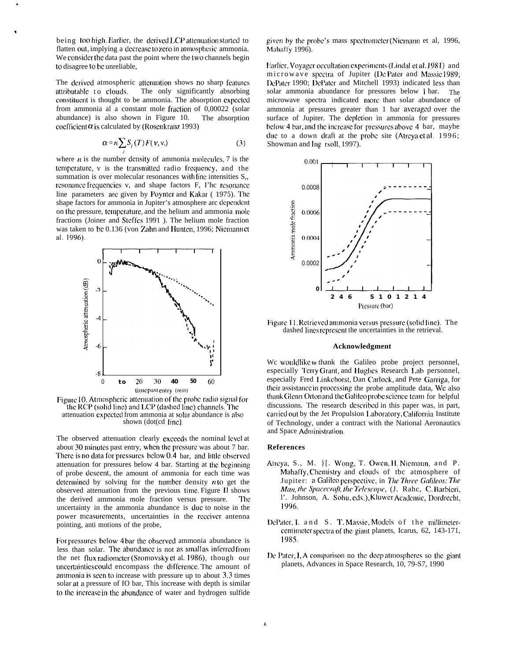being too high. Earlier, the derived LCP attenuation started to flatten out, implying a decrease to zero in atmospheric ammonia. We consider the data past the point where the two channels begin to disagree to be unreliable,

The derived atmospheric attenuation shows no sharp features attributable to clouds. The only significantly absorbing constituent is thought to be ammonia. The absorption expected from ammonia al a constant mole fraction of 0,00022 (solar abundance) is also shown in Figure 10. The absorption coefficient  $\alpha$  is calculated by (Rosenkranz 1993)

$$
\alpha = n \sum_{i} S_{j}(T) F(\nu, \nu, \mathbf{y}) \tag{3}
$$

where  $n$  is the number density of ammonia molecules, 7 is the temperature, v is the transmitted radio frequency, and the summation is over molecular resonances with line intensities S., resonance frequencies v, and shape factors F, I'he resonance line parameters are given by Poynter and Kakar (1975). The shape factors for ammonia in Jupiter's atmosphere arc dependent on the pressure, temperature, and the helium and ammonia mole fractions (Joiner and Steffes 1991). The helium mole fraction was taken to be 0.136 (von Zahn and Hunten, 1996; Niemann et al. 1996).



Figure 10. Atmospheric attenuation of the probe radio signal for the RCP (solid line) and LCP (dashed line) channels. The attenuation expected from ammonia at solar abundance is also shown (dot(cd line).

The observed attenuation clearly exceeds the nominal level at about 30 minutes past entry, when the pressure was about 7 bar. There is no data for pressures below 0.4 bar, and little observed attenuation for pressures below 4 bar. Starting at the beginning of probe descent, the amount of ammonia for each time was determined by solving for the number density  $n$  to get the observed attenuation from the previous time Figure II shows the derived ammonia mole fraction versus pressure. **The** uncertainty in the ammonia abundance is due to noise in the power measurements, uncertainties in the receiver antenna pointing, anti motions of the probe,

For pressures below 4 bar the observed ammonia abundance is less than solar. The abundance is not as small as inferred from the net flux radiometer (Sromovsky et al. 1986), though our uncertainties could encompass the difference. The amount of ammonia is seen to increase with pressure up to about 3.3 times solar at a pressure of IO bar, This increase with depth is similar to the increase in the abundance of water and hydrogen sulfide

given by the probe's mass spectrometer (Niemann et al, 1996, Mahaffy 1996).

Earlier, Voyager occultation experiments (Lindal et al. 1981) and microwave spectra of Jupiter (De Pater and Massie 1989; DePater 1990; DePater and Mitchell 1993) indicated less than solar ammonia abundance for pressures below 1 bar. The microwave spectra indicated more than solar abundance of ammonia at pressures greater than 1 bar averaged over the surface of Jupiter. The depletion in ammonia for pressures below 4 bar, and the increase for pressures above 4 bar, maybe due to a down draft at the probe site (Atreya et al. 1996; Showman and Ing rsoll, 1997).



Figure 11. Retrieved ammonia versus pressure (solid line). The dashed lines represent the uncertainties in the retrieval.

### Acknowledgment

We wouldlike to thank the Galileo probe project personnel, especially Terry Grant, and Hughes Research Lab personnel, especially Fred Linkchorst, Dan Carlock, and Pete Garriga, for their assistance in processing the probe amplitude data, We also thank Glenn Ortonand the Galileo probe science team for helpful discussions. The research described in this paper was, in part, carried out by the Jet Propulsion Laboratory, California Institute of Technology, under a contract with the National Aeronautics and Space Administration.

### **References**

- Atreya, S., M. }[. Wong, T. Owen, H. Niemann, and P. Mahaffy, Chemistry and clouds of tbc atmosphere of Jupiter: a Galileo perspective, in The Three Galileos: The Man, the Spacecraft, the Telescope, (J. Rahc, C. Barbieri, l'. Johnson, A. Sohu, eds.), Kluwer Academic, Dordrecht, 1996.
- DePater, J. and S. T. Massie, Models of the millimetercentimeter spectra of the giant planets, Icarus, 62, 143-171, 1985.
- De Pater, I, A comparison no the deep atmospheres so the giant planets, Advances in Space Research, 10, 79-S7, 1990